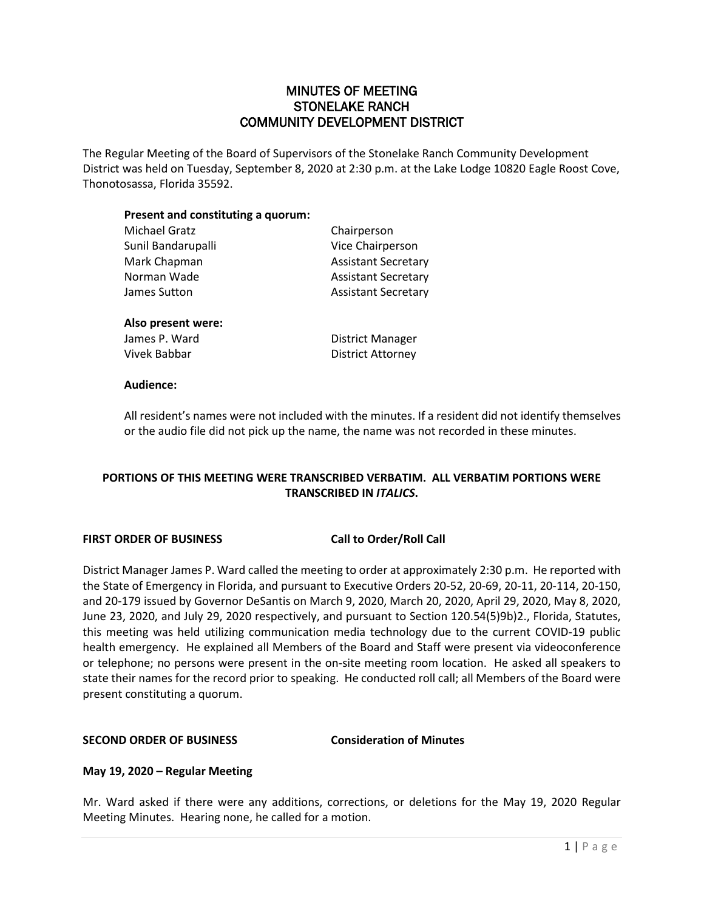# MINUTES OF MEETING STONELAKE RANCH COMMUNITY DEVELOPMENT DISTRICT

The Regular Meeting of the Board of Supervisors of the Stonelake Ranch Community Development District was held on Tuesday, September 8, 2020 at 2:30 p.m. at the Lake Lodge 10820 Eagle Roost Cove, Thonotosassa, Florida 35592.

# **Present and constituting a quorum:**

| Michael Gratz      | Chairperson                |
|--------------------|----------------------------|
| Sunil Bandarupalli | Vice Chairperson           |
| Mark Chapman       | <b>Assistant Secretary</b> |
| Norman Wade        | <b>Assistant Secretary</b> |
| James Sutton       | <b>Assistant Secretary</b> |
| Also present were: |                            |
| James P. Ward      | District Manager           |
| Vivek Babbar       | <b>District Attorney</b>   |

#### **Audience:**

All resident's names were not included with the minutes. If a resident did not identify themselves or the audio file did not pick up the name, the name was not recorded in these minutes.

# **PORTIONS OF THIS MEETING WERE TRANSCRIBED VERBATIM. ALL VERBATIM PORTIONS WERE TRANSCRIBED IN** *ITALICS***.**

# **FIRST ORDER OF BUSINESS Call to Order/Roll Call**

District Manager James P. Ward called the meeting to order at approximately 2:30 p.m. He reported with the State of Emergency in Florida, and pursuant to Executive Orders 20-52, 20-69, 20-11, 20-114, 20-150, and 20-179 issued by Governor DeSantis on March 9, 2020, March 20, 2020, April 29, 2020, May 8, 2020, June 23, 2020, and July 29, 2020 respectively, and pursuant to Section 120.54(5)9b)2., Florida, Statutes, this meeting was held utilizing communication media technology due to the current COVID-19 public health emergency. He explained all Members of the Board and Staff were present via videoconference or telephone; no persons were present in the on-site meeting room location. He asked all speakers to state their names for the record prior to speaking. He conducted roll call; all Members of the Board were present constituting a quorum.

#### **SECOND ORDER OF BUSINESS Consideration of Minutes**

# **May 19, 2020 – Regular Meeting**

Mr. Ward asked if there were any additions, corrections, or deletions for the May 19, 2020 Regular Meeting Minutes. Hearing none, he called for a motion.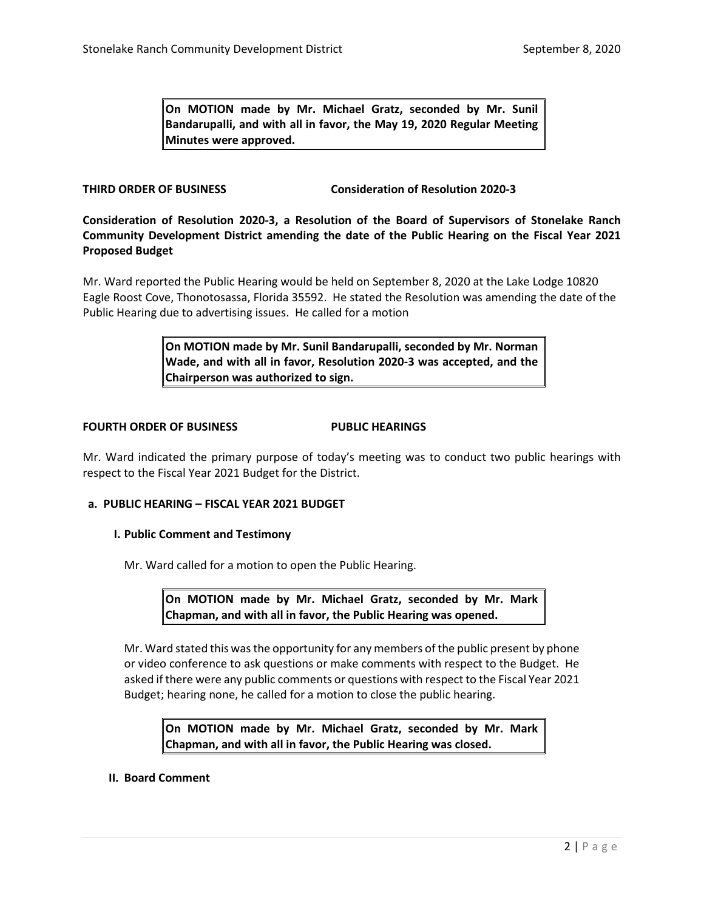**On MOTION made by Mr. Michael Gratz, seconded by Mr. Sunil Bandarupalli, and with all in favor, the May 19, 2020 Regular Meeting Minutes were approved.** 

## **THIRD ORDER OF BUSINESS Consideration of Resolution 2020-3**

**Consideration of Resolution 2020-3, a Resolution of the Board of Supervisors of Stonelake Ranch Community Development District amending the date of the Public Hearing on the Fiscal Year 2021 Proposed Budget**

Mr. Ward reported the Public Hearing would be held on September 8, 2020 at the Lake Lodge 10820 Eagle Roost Cove, Thonotosassa, Florida 35592. He stated the Resolution was amending the date of the Public Hearing due to advertising issues. He called for a motion

> **On MOTION made by Mr. Sunil Bandarupalli, seconded by Mr. Norman Wade, and with all in favor, Resolution 2020-3 was accepted, and the Chairperson was authorized to sign.**

### **FOURTH ORDER OF BUSINESS PUBLIC HEARINGS**

Mr. Ward indicated the primary purpose of today's meeting was to conduct two public hearings with respect to the Fiscal Year 2021 Budget for the District.

# **a. PUBLIC HEARING – FISCAL YEAR 2021 BUDGET**

#### **I. Public Comment and Testimony**

Mr. Ward called for a motion to open the Public Hearing.

**On MOTION made by Mr. Michael Gratz, seconded by Mr. Mark Chapman, and with all in favor, the Public Hearing was opened.**

Mr. Ward stated this was the opportunity for any members of the public present by phone or video conference to ask questions or make comments with respect to the Budget. He asked if there were any public comments or questions with respect to the Fiscal Year 2021 Budget; hearing none, he called for a motion to close the public hearing.

**On MOTION made by Mr. Michael Gratz, seconded by Mr. Mark Chapman, and with all in favor, the Public Hearing was closed.**

#### **II. Board Comment**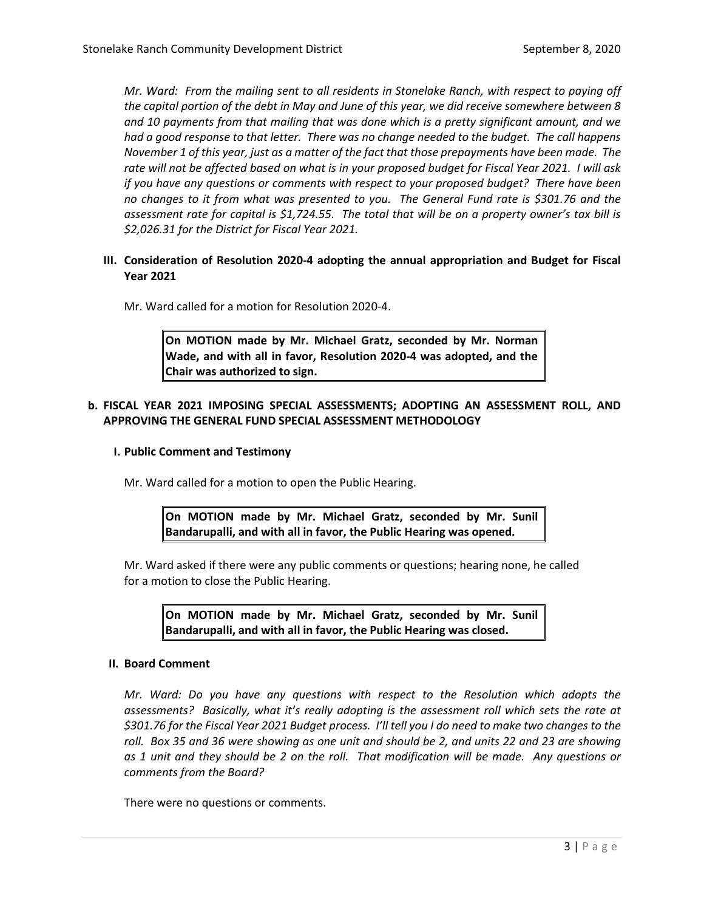*Mr. Ward: From the mailing sent to all residents in Stonelake Ranch, with respect to paying off the capital portion of the debt in May and June of this year, we did receive somewhere between 8 and 10 payments from that mailing that was done which is a pretty significant amount, and we had a good response to that letter. There was no change needed to the budget. The call happens November 1 of this year, just as a matter of the fact that those prepayments have been made. The rate will not be affected based on what is in your proposed budget for Fiscal Year 2021. I will ask if you have any questions or comments with respect to your proposed budget? There have been no changes to it from what was presented to you. The General Fund rate is \$301.76 and the assessment rate for capital is \$1,724.55. The total that will be on a property owner's tax bill is \$2,026.31 for the District for Fiscal Year 2021.* 

# **III. Consideration of Resolution 2020-4 adopting the annual appropriation and Budget for Fiscal Year 2021**

Mr. Ward called for a motion for Resolution 2020-4.

**On MOTION made by Mr. Michael Gratz, seconded by Mr. Norman Wade, and with all in favor, Resolution 2020-4 was adopted, and the Chair was authorized to sign.** 

# **b. FISCAL YEAR 2021 IMPOSING SPECIAL ASSESSMENTS; ADOPTING AN ASSESSMENT ROLL, AND APPROVING THE GENERAL FUND SPECIAL ASSESSMENT METHODOLOGY**

#### **I. Public Comment and Testimony**

Mr. Ward called for a motion to open the Public Hearing.

**On MOTION made by Mr. Michael Gratz, seconded by Mr. Sunil Bandarupalli, and with all in favor, the Public Hearing was opened.**

Mr. Ward asked if there were any public comments or questions; hearing none, he called for a motion to close the Public Hearing.

**On MOTION made by Mr. Michael Gratz, seconded by Mr. Sunil Bandarupalli, and with all in favor, the Public Hearing was closed.**

#### **II. Board Comment**

*Mr. Ward: Do you have any questions with respect to the Resolution which adopts the assessments? Basically, what it's really adopting is the assessment roll which sets the rate at \$301.76 for the Fiscal Year 2021 Budget process. I'll tell you I do need to make two changes to the roll. Box 35 and 36 were showing as one unit and should be 2, and units 22 and 23 are showing as 1 unit and they should be 2 on the roll. That modification will be made. Any questions or comments from the Board?* 

There were no questions or comments.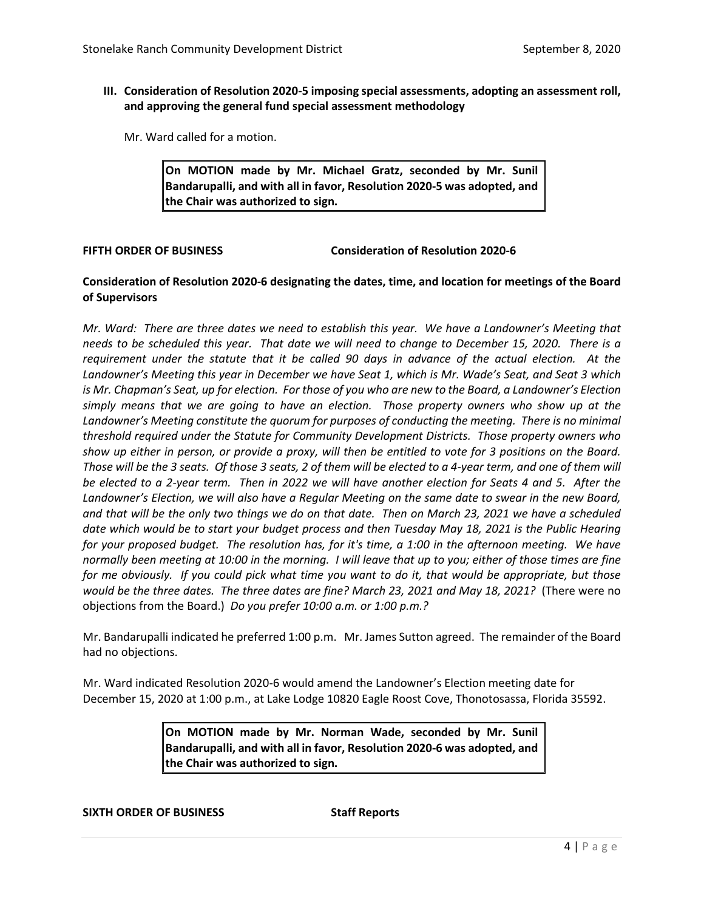**III. Consideration of Resolution 2020-5 imposing special assessments, adopting an assessment roll, and approving the general fund special assessment methodology**

Mr. Ward called for a motion.

**On MOTION made by Mr. Michael Gratz, seconded by Mr. Sunil Bandarupalli, and with all in favor, Resolution 2020-5 was adopted, and the Chair was authorized to sign.** 

**FIFTH ORDER OF BUSINESS Consideration of Resolution 2020-6**

# **Consideration of Resolution 2020-6 designating the dates, time, and location for meetings of the Board of Supervisors**

*Mr. Ward: There are three dates we need to establish this year. We have a Landowner's Meeting that needs to be scheduled this year. That date we will need to change to December 15, 2020. There is a requirement under the statute that it be called 90 days in advance of the actual election. At the Landowner's Meeting this year in December we have Seat 1, which is Mr. Wade's Seat, and Seat 3 which is Mr. Chapman's Seat, up for election. For those of you who are new to the Board, a Landowner's Election simply means that we are going to have an election. Those property owners who show up at the Landowner's Meeting constitute the quorum for purposes of conducting the meeting. There is no minimal threshold required under the Statute for Community Development Districts. Those property owners who show up either in person, or provide a proxy, will then be entitled to vote for 3 positions on the Board. Those will be the 3 seats. Of those 3 seats, 2 of them will be elected to a 4-year term, and one of them will be elected to a 2-year term. Then in 2022 we will have another election for Seats 4 and 5. After the*  Landowner's Election, we will also have a Regular Meeting on the same date to swear in the new Board, *and that will be the only two things we do on that date. Then on March 23, 2021 we have a scheduled date which would be to start your budget process and then Tuesday May 18, 2021 is the Public Hearing for your proposed budget. The resolution has, for it's time, a 1:00 in the afternoon meeting. We have normally been meeting at 10:00 in the morning. I will leave that up to you; either of those times are fine for me obviously. If you could pick what time you want to do it, that would be appropriate, but those would be the three dates. The three dates are fine? March 23, 2021 and May 18, 2021?* (There were no objections from the Board.) *Do you prefer 10:00 a.m. or 1:00 p.m.?* 

Mr. Bandarupalli indicated he preferred 1:00 p.m. Mr. James Sutton agreed. The remainder of the Board had no objections.

Mr. Ward indicated Resolution 2020-6 would amend the Landowner's Election meeting date for December 15, 2020 at 1:00 p.m., at Lake Lodge 10820 Eagle Roost Cove, Thonotosassa, Florida 35592.

> **On MOTION made by Mr. Norman Wade, seconded by Mr. Sunil Bandarupalli, and with all in favor, Resolution 2020-6 was adopted, and the Chair was authorized to sign.**

**SIXTH ORDER OF BUSINESS Staff Reports**